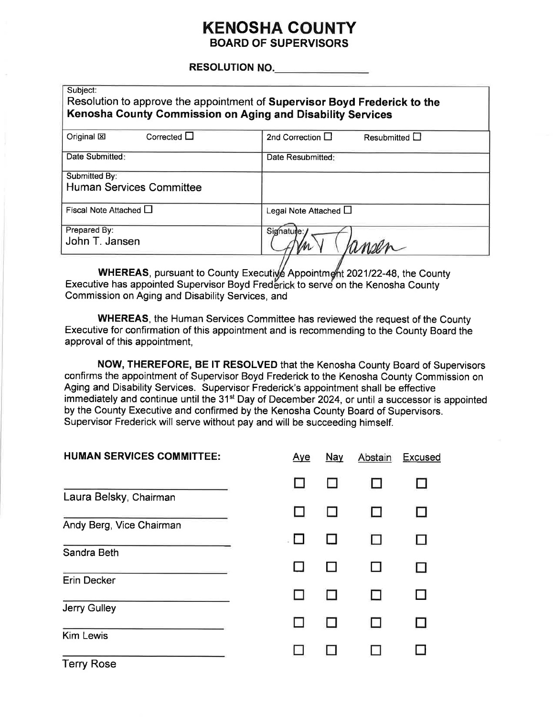### **KENOSHA COUNTY BOARD OF SUPERVISORS**

#### **RESOLUTION NO.**

| Subject:<br>Resolution to approve the appointment of Supervisor Boyd Frederick to the<br>Kenosha County Commission on Aging and Disability Services |                                             |  |  |  |
|-----------------------------------------------------------------------------------------------------------------------------------------------------|---------------------------------------------|--|--|--|
| Corrected $\Box$<br>Original $\boxtimes$                                                                                                            | 2nd Correction $\Box$<br>Resubmitted $\Box$ |  |  |  |
| Date Submitted:                                                                                                                                     | Date Resubmitted:                           |  |  |  |
| Submitted By:                                                                                                                                       |                                             |  |  |  |
| <b>Human Services Committee</b>                                                                                                                     |                                             |  |  |  |
| Fiscal Note Attached $\square$                                                                                                                      | Legal Note Attached $\Box$                  |  |  |  |
| Prepared By:                                                                                                                                        | Signature:                                  |  |  |  |
| John T. Jansen                                                                                                                                      |                                             |  |  |  |
|                                                                                                                                                     |                                             |  |  |  |

WHEREAS, pursuant to County Executive Appointment 2021/22-48, the County Executive has appointed Supervisor Boyd Frederick to serve on the Kenosha County Commission on Aging and Disability Services, and

**WHEREAS, the Human Services Committee has reviewed the request of the County** Executive for confirmation of this appointment and is recommending to the County Board the approval of this appointment,

NOW, THEREFORE, BE IT RESOLVED that the Kenosha County Board of Supervisors confirms the appointment of Supervisor Boyd Frederick to the Kenosha County Commission on Aging and Disability Services. Supervisor Frederick's appointment shall be effective immediately and continue until the 31<sup>st</sup> Day of December 2024, or until a successor is appointed by the County Executive and confirmed by the Kenosha County Board of Supervisors. Supervisor Frederick will serve without pay and will be succeeding himself.

| <b>HUMAN SERVICES COMMITTEE:</b> | <u>Aye</u> | Nay | Abstain | <b>Excused</b> |
|----------------------------------|------------|-----|---------|----------------|
|                                  |            |     |         |                |
| Laura Belsky, Chairman           |            |     |         | $\mathsf{L}$   |
| Andy Berg, Vice Chairman         |            |     |         |                |
| Sandra Beth                      |            |     |         |                |
| <b>Erin Decker</b>               |            | H   |         |                |
| <b>Jerry Gulley</b>              |            |     |         |                |
| <b>Kim Lewis</b>                 |            |     |         |                |
| <b>Terry Rose</b>                |            |     |         |                |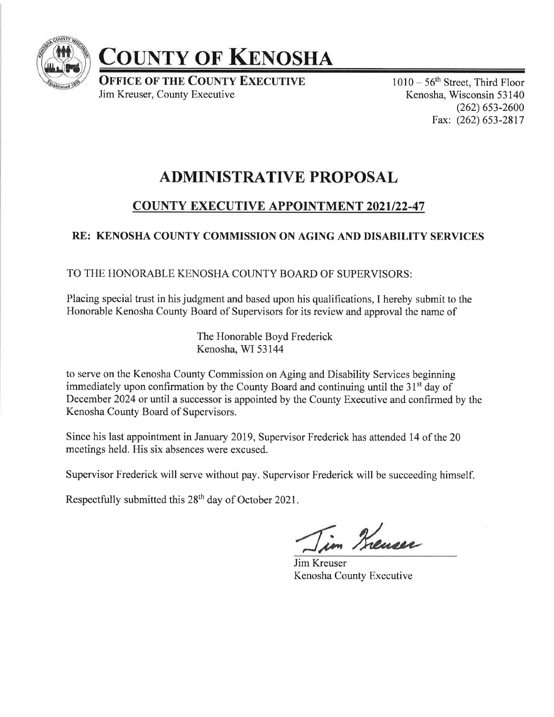

# COUNTY OF KENOSHA

**OFFICE OF THE COUNTY EXECUTIVE** Jim Kreuser, County Executive

 $1010-56$ <sup>th</sup> Street, Third Floor Kenosha, Wisconsin 53 140  $(262)$  653-2600 Fax: (262) 653-2817

## ADMINISTRATIVE PROPOSAL

## **COUNTY EXECUTIVE APPOINTMENT 2021/22-47**

## RE: KENOSHA COUNTY COMMISSION ON AGING AND DISABILITY SERVICES

#### TO THE HONORABLE KENOSHA COUNTY BOARD OF SUPERVISORS:

Placing special trust in his judgment and based upon his qualifications, I hereby submit to the Honorable Kenosha County Board of Supervisors for its review and approval the name of

> The Honorable Boyd Frederick Kenosha, WI 53144

to serve on the Kenosha County Commission on Aging and Disability Services beginning immediately upon confirmation by the County Board and continuing until the  $31<sup>st</sup>$  day of December 2024 or until a successor is appointed by the County Executive and confirmed by the Kenosha County Board of Supervisors.

Since his last appointment in January 2019, Supervisor Frederick has attended 14 of the 20 meetings held. His six absences were excused.

Supervisor Frederick will serve without pay. Supervisor Frederick will be succeeding himself.

Respectfully submitted this 28<sup>th</sup> day of October 2021.

im Kreuser

Jim Kreuser Kenosha County Executive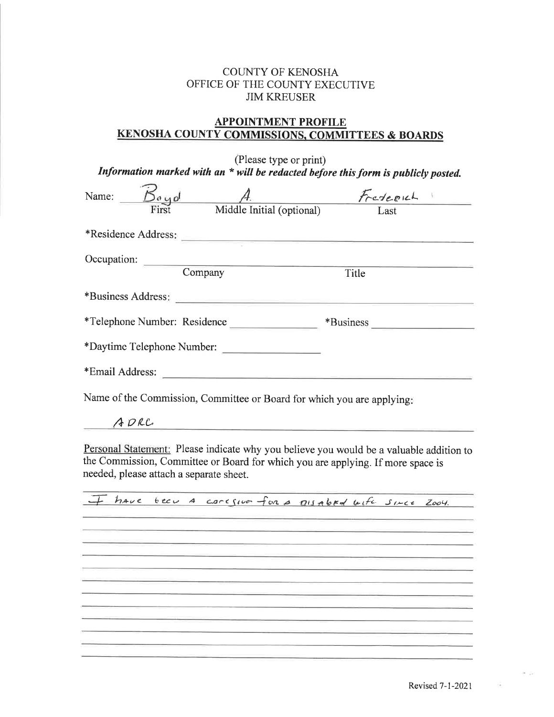#### COLINTY OF KENOSHA OFFICE OF THE COUNTY EXECUTIVE JIM KREUSER

#### APPOINTMENT PROFILE KENOSHA COUNTY COMMISSIONS. COMMITTEES & BOARDS

| (Please type or print)<br>Information marked with an $*$ will be redacted before this form is publicly posted. |  |                            |                                                   |  |
|----------------------------------------------------------------------------------------------------------------|--|----------------------------|---------------------------------------------------|--|
|                                                                                                                |  |                            | Name: $\frac{B_{\alpha y o l}}{First}$ A Federich |  |
|                                                                                                                |  |                            |                                                   |  |
|                                                                                                                |  |                            |                                                   |  |
|                                                                                                                |  |                            |                                                   |  |
|                                                                                                                |  | Occupation: Company        | Title                                             |  |
|                                                                                                                |  | *Business Address:         |                                                   |  |
|                                                                                                                |  |                            |                                                   |  |
|                                                                                                                |  | *Daytime Telephone Number: |                                                   |  |
|                                                                                                                |  |                            |                                                   |  |
| Name of the Commission, Committee or Board for which you are applying:                                         |  |                            |                                                   |  |

ADRC

Personal Statement: Please indicate why you believe you would be a valuable addition to the commission, committee or Board for which you are applying. If more space is needed, please attach a separate sheet.



 $-10$ 

G.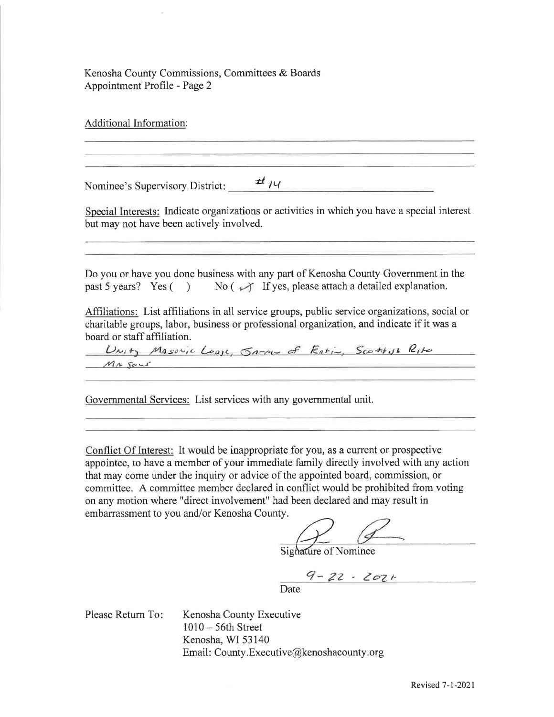Kenosha County Commissions, Committees & Boards Appointment Profile - Page 2

Additional Information: Nominee's Supervisory District: <br>Nominee's Supervisory District: Special Interests: Indicate organizations or activities in which you have a special interest but may not have been actively involved. Do you or have you done business with any part of Kenosha County Government in the past 5 years? Yes ( ) No ( $\sqrt{ }$  If yes, please attach a detailed explanation. Affiliations: List affiliations in all service groups, public service organizations, social or charitable groups, labor, business or professional organization, and indicate if it was a board or staff affiliation. Unity Masovic Loose, James of Estin, Scottish Rite  $M_4$  Sous

Governmental Services: List services with any govemmental unit.

Conflict Of Interest: It would be inappropriate for you, as a current or prospective appointee, to have a member of your immediate family directly involved with any action that may come under the inquiry or advice of the appointed board, commission, or committee. A committee member declared in conflict would be prohibited from voting on any motion where "direct involvement" had been declared and may result in embarrassment to you and/or Kenosha County.

).<br>Signature of Nominee

 $9 - 22 - 202$ Date

Kenosha County Executive <sup>1010</sup>- 56th Street Kenosha, WI 53140 Email: County.Executive@kenoshacounty.org Please Return To